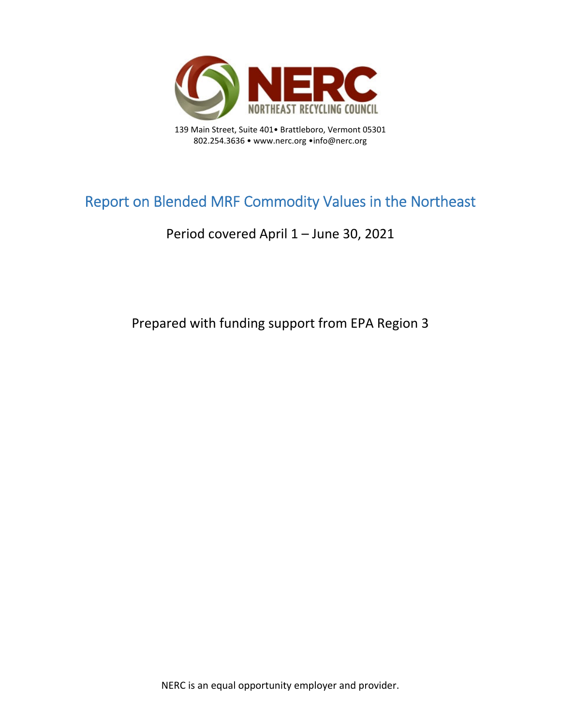

139 Main Street, Suite 401• Brattleboro, Vermont 05301 802.254.3636 • www.nerc.org •info@nerc.org

# Report on Blended MRF Commodity Values in the Northeast

## Period covered April 1 – June 30, 2021

Prepared with funding support from EPA Region 3

NERC is an equal opportunity employer and provider.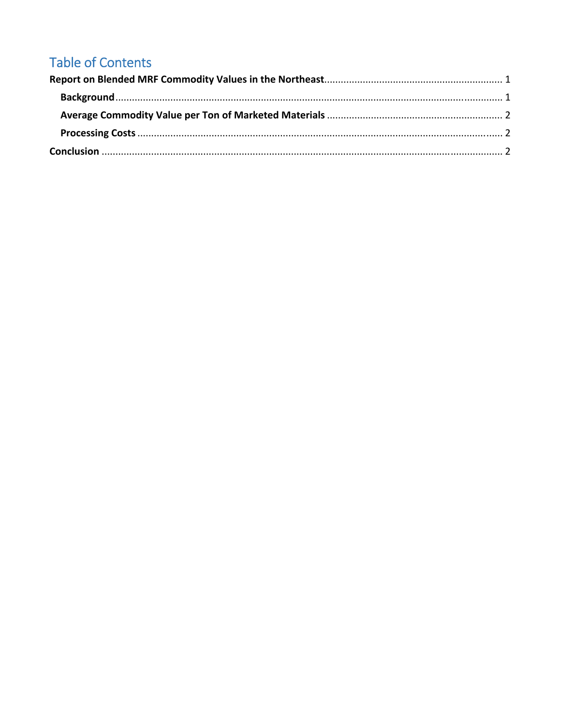## **Table of Contents**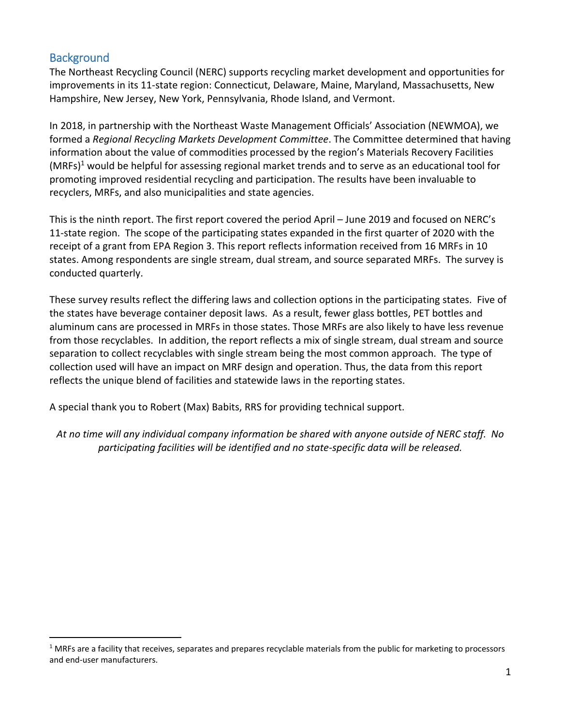### **Background**

The Northeast Recycling Council (NERC) supports recycling market development and opportunities for improvements in its 11‐state region: Connecticut, Delaware, Maine, Maryland, Massachusetts, New Hampshire, New Jersey, New York, Pennsylvania, Rhode Island, and Vermont.

In 2018, in partnership with the Northeast Waste Management Officials' Association (NEWMOA), we formed a *Regional Recycling Markets Development Committee*. The Committee determined that having information about the value of commodities processed by the region's Materials Recovery Facilities (MRFs)1 would be helpful for assessing regional market trends and to serve as an educational tool for promoting improved residential recycling and participation. The results have been invaluable to recyclers, MRFs, and also municipalities and state agencies.

This is the ninth report. The first report covered the period April – June 2019 and focused on NERC's 11‐state region. The scope of the participating states expanded in the first quarter of 2020 with the receipt of a grant from EPA Region 3. This report reflects information received from 16 MRFs in 10 states. Among respondents are single stream, dual stream, and source separated MRFs. The survey is conducted quarterly.

These survey results reflect the differing laws and collection options in the participating states. Five of the states have beverage container deposit laws. As a result, fewer glass bottles, PET bottles and aluminum cans are processed in MRFs in those states. Those MRFs are also likely to have less revenue from those recyclables. In addition, the report reflects a mix of single stream, dual stream and source separation to collect recyclables with single stream being the most common approach. The type of collection used will have an impact on MRF design and operation. Thus, the data from this report reflects the unique blend of facilities and statewide laws in the reporting states.

A special thank you to Robert (Max) Babits, RRS for providing technical support.

At no time will any individual company information be shared with anyone outside of NERC staff. No *participating facilities will be identified and no state‐specific data will be released.*

 $1$  MRFs are a facility that receives, separates and prepares recyclable materials from the public for marketing to processors and end‐user manufacturers.